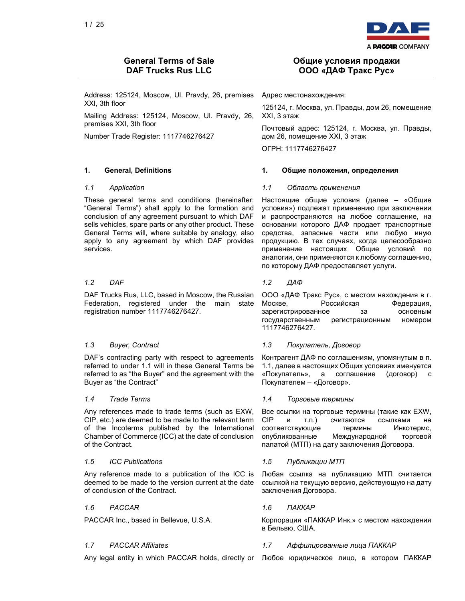

Address: 125124, Moscow, Ul. Pravdy, 26, premises XXI, 3th floor

Mailing Address: 125124, Moscow, Ul. Pravdy, 26, premises XXI, 3th floor

Number Trade Register: 1117746276427

These general terms and conditions (hereinafter: "General Terms") shall apply to the formation and conclusion of any agreement pursuant to which DAF sells vehicles, spare parts or any other product. These General Terms will, where suitable by analogy, also apply to any agreement by which DAF provides services.

DAF Trucks Rus, LLC, based in Moscow, the Russian Federation, registered under the main state registration number 1117746276427.

DAF's contracting party with respect to agreements referred to under 1.1 will in these General Terms be referred to as "the Buyer" and the agreement with the Buyer as "the Contract"

Any references made to trade terms (such as EXW, CIP, etc.) are deemed to be made to the relevant term of the Incoterms published by the International Chamber of Commerce (ICC) at the date of conclusion of the Contract.

Any reference made to a publication of the ICC is deemed to be made to the version current at the date of conclusion of the Contract.

### 1.6 PACCAR 1.6 ПАККАР

## Общие условия продажи ООО «ДАФ Тракс Рус»

Адрес местонахождения:

125124, г. Москва, ул. Правды, дом 26, помещение XXI, 3 этаж

Почтовый адрес: 125124, г. Москва, ул. Правды, дом 26, помещение XXI, 3 этаж

ОГРН: 1117746276427

### 1. General, Definitions 1. Общие положения, определения

### 1.1 Application 1.1 Область применения

Настоящие общие условия (далее – «Общие условия») подлежат применению при заключении и распространяются на любое соглашение, на основании которого ДАФ продает транспортные средства, запасные части или любую иную продукцию. В тех случаях, когда целесообразно применение настоящих Общие условий по аналогии, они применяются к любому соглашению, по которому ДАФ предоставляет услуги.

### 1.2 DAF 1.2 ДАФ

ООО «ДАФ Тракс Рус», с местом нахождения в г. Москве, Российская Федерация, зарегистрированное за основным государственным регистрационным номером 1117746276427.

### 1.3 Buyer, Contract 1.3 Покупатель, Договор

Контрагент ДАФ по соглашениям, упомянутым в п. 1.1, далее в настоящих Общих условиях именуется «Покупатель», а соглашение (договор) с Покупателем – «Договор».

### 1.4 Trade Terms 1.4 Торговые термины

Все ссылки на торговые термины (такие как EXW, CIP и т.п.) считаются ссылками на соответствующие термины Инкотермс, опубликованные Международной торговой палатой (МТП) на дату заключения Договора.

### 1.5 ICC Publications 1.5 Публикации МТП

Любая ссылка на публикацию МТП считается ссылкой на текущую версию, действующую на дату заключения Договора.

PACCAR Inc., based in Bellevue, U.S.A. Корпорация «ПАККАР Инк.» с местом нахождения в Бельвю, США.

### 1.7 PACCAR Affiliates 1.7 Аффилированные лица ПАККАР

Any legal entity in which PACCAR holds, directly or Любое юридическое лицо, в котором ПАККАР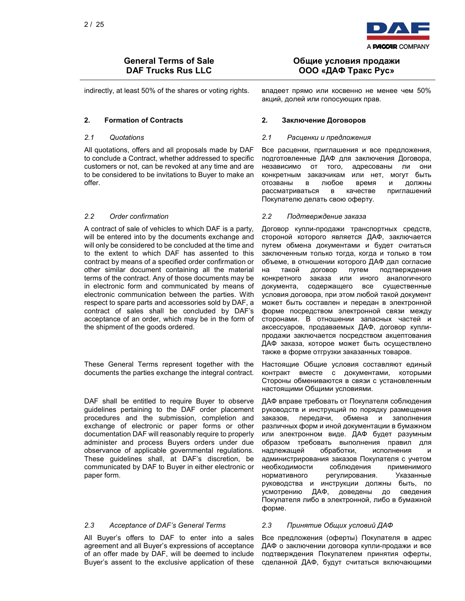

All quotations, offers and all proposals made by DAF to conclude a Contract, whether addressed to specific customers or not, can be revoked at any time and are to be considered to be invitations to Buyer to make an offer.

A contract of sale of vehicles to which DAF is a party, will be entered into by the documents exchange and will only be considered to be concluded at the time and to the extent to which DAF has assented to this contract by means of a specified order confirmation or other similar document containing all the material terms of the contract. Any of those documents may be in electronic form and communicated by means of electronic communication between the parties. With respect to spare parts and accessories sold by DAF, a contract of sales shall be concluded by DAF's acceptance of an order, which may be in the form of the shipment of the goods ordered.

These General Terms represent together with the documents the parties exchange the integral contract.

DAF shall be entitled to require Buyer to observe guidelines pertaining to the DAF order placement procedures and the submission, completion and exchange of electronic or paper forms or other documentation DAF will reasonably require to properly administer and process Buyers orders under due observance of applicable governmental regulations. These guidelines shall, at DAF's discretion, be communicated by DAF to Buyer in either electronic or paper form.

### 2.3 Acceptance of DAF's General Terms 2.3 Принятие Общих условий ДАФ

All Buyer's offers to DAF to enter into a sales agreement and all Buyer's expressions of acceptance of an offer made by DAF, will be deemed to include Buyer's assent to the exclusive application of these

## Общие условия продажи ООО «ДАФ Тракс Рус»

indirectly, at least 50% of the shares or voting rights. владеет прямо или косвенно не менее чем 50% акций, долей или голосующих прав.

### 2. Formation of Contracts 2. Заключение Договоров

### 2.1 Quotations 2.1 Расценки и предложения

Все расценки, приглашения и все предложения, подготовленные ДАФ для заключения Договора, независимо от того, адресованы ли они конкретным заказчикам или нет, могут быть отозваны в любое время и должны рассматриваться в качестве приглашений Покупателю делать свою оферту.

### 2.2 Order confirmation 2.2 Подтверждение заказа

Договор купли-продажи транспортных средств, стороной которого является ДАФ, заключается путем обмена документами и будет считаться заключенным только тогда, когда и только в том объеме, в отношении которого ДАФ дал согласие на такой договор путем подтверждения конкретного заказа или иного аналогичного документа, содержащего все существенные условия договора, при этом любой такой документ может быть составлен и передан в электронной форме посредством электронной связи между сторонами. В отношении запасных частей и аксессуаров, продаваемых ДАФ, договор куплипродажи заключается посредством акцептования ДАФ заказа, которое может быть осуществлено также в форме отгрузки заказанных товаров.

Настоящие Общие условия составляют единый контракт вместе с документами, которыми Стороны обмениваются в связи с установленным настоящими Общими условиями.

ДАФ вправе требовать от Покупателя соблюдения руководств и инструкций по порядку размещения заказов, передачи, обмена и заполнения различных форм и иной документации в бумажном или электронном виде. ДАФ будет разумным образом требовать выполнения правил для надлежащей обработки, исполнения и администрирования заказов Покупателя с учетом необходимости соблюдения применимого нормативного регулирования. Указанные руководства и инструкции должны быть, по усмотрению ДАФ, доведены до сведения Покупателя либо в электронной, либо в бумажной форме.

Все предложения (оферты) Покупателя в адрес ДАФ о заключении договора купли-продажи и все подтверждения Покупателем принятия оферты, сделанной ДАФ, будут считаться включающими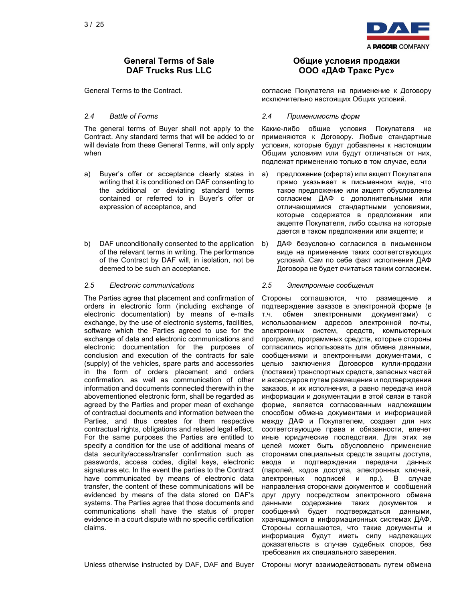

The general terms of Buyer shall not apply to the Contract. Any standard terms that will be added to or will deviate from these General Terms, will only apply when

- a) Buyer's offer or acceptance clearly states in writing that it is conditioned on DAF consenting to the additional or deviating standard terms contained or referred to in Buyer's offer or expression of acceptance, and
- b) DAF unconditionally consented to the application of the relevant terms in writing. The performance of the Contract by DAF will, in isolation, not be deemed to be such an acceptance.

### 2.5 Electronic communications 2.5 Электронные сообщения

The Parties agree that placement and confirmation of orders in electronic form (including exchange of electronic documentation) by means of e-mails exchange, by the use of electronic systems, facilities, software which the Parties agreed to use for the exchange of data and electronic communications and electronic documentation for the purposes of conclusion and execution of the contracts for sale (supply) of the vehicles, spare parts and accessories in the form of orders placement and orders confirmation, as well as communication of other information and documents connected therewith in the abovementioned electronic form, shall be regarded as agreed by the Parties and proper mean of exchange of contractual documents and information between the Parties, and thus creates for them respective contractual rights, obligations and related legal effect. For the same purposes the Parties are entitled to specify a condition for the use of additional means of data security/access/transfer confirmation such as passwords, access codes, digital keys, electronic signatures etc. In the event the parties to the Contract have communicated by means of electronic data transfer, the content of these communications will be evidenced by means of the data stored on DAF's systems. The Parties agree that those documents and communications shall have the status of proper evidence in a court dispute with no specific certification claims.

## Общие условия продажи ООО «ДАФ Тракс Рус»

General Terms to the Contract. **Contract.** Conserved Contracter Dokynatens на применение к Договору исключительно настоящих Общих условий.

### 2.4 Battle of Forms 2.4 Применимость форм

Какие-либо общие условия Покупателя не применяются к Договору. Любые стандартные условия, которые будут добавлены к настоящим Общим условиям или будут отличаться от них, подлежат применению только в том случае, если

- а) предложение (оферта) или акцепт Покупателя прямо указывает в письменном виде, что такое предложение или акцепт обусловлены согласием ДАФ с дополнительными или отличающимися стандартными условиями, которые содержатся в предложении или акцепте Покупателя, либо ссылка на которые дается в таком предложении или акцепте; и
- b) ДАФ безусловно согласился в письменном виде на применение таких соответствующих условий. Сам по себе факт исполнения ДАФ Договора не будет считаться таким согласием.

Стороны соглашаются, что размещение подтверждение заказов в электронной форме (в т.ч. обмен электронными документами) с использованием адресов электронной почты, электронных систем, средств, компьютерных программ, программных средств, которые стороны согласились использовать для обмена данными, сообщениями и электронными документами, с целью заключения Договоров купли-продажи (поставки) транспортных средств, запасных частей и аксессуаров путем размещения и подтверждения заказов, и их исполнения, а равно передача иной информации и документации в этой связи в такой форме, является согласованным надлежащим способом обмена документами и информацией между ДАФ и Покупателем, создает для них соответствующие права и обязанности, влечет иные юридические последствия. Для этих же целей может быть обусловлено применение сторонами специальных средств защиты доступа, ввода и подтверждения передачи данных (паролей, кодов доступа, электронных ключей, электронных подписей и пр.). В случае направления сторонами документов и сообщений друг другу посредством электронного обмена данными содержание таких документов и сообщений будет подтверждаться данными, хранящимися в информационных системах ДАФ. Стороны соглашаются, что такие документы и информация будут иметь силу надлежащих доказательств в случае судебных споров, без требования их специального заверения.

Unless otherwise instructed by DAF, DAF and Buyer Стороны могут взаимодействовать путем обмена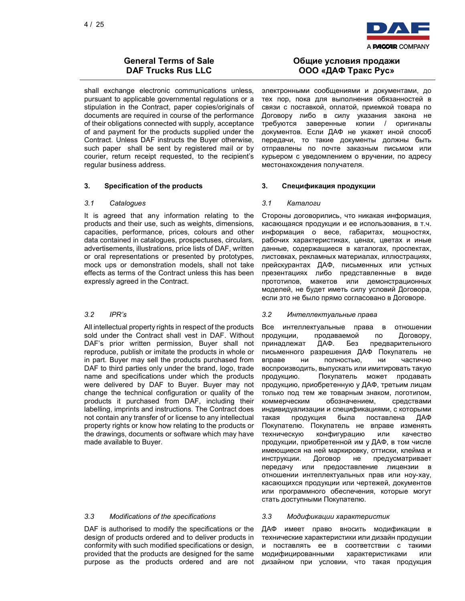

shall exchange electronic communications unless, pursuant to applicable governmental regulations or a stipulation in the Contract, paper copies/originals of documents are required in course of the performance of their obligations connected with supply, acceptance of and payment for the products supplied under the Contract. Unless DAF instructs the Buyer otherwise, such paper shall be sent by registered mail or by courier, return receipt requested, to the recipient's regular business address.

### 3. Specification of the products 3. Спецификация продукции

### 3.1 Catalogues 3.1 Каталоги

It is agreed that any information relating to the products and their use, such as weights, dimensions, capacities, performance, prices, colours and other data contained in catalogues, prospectuses, circulars, advertisements, illustrations, price lists of DAF, written or oral representations or presented by prototypes, mock ups or demonstration models, shall not take effects as terms of the Contract unless this has been expressly agreed in the Contract.

All intellectual property rights in respect of the products sold under the Contract shall vest in DAF. Without DAF's prior written permission, Buyer shall not reproduce, publish or imitate the products in whole or in part. Buyer may sell the products purchased from DAF to third parties only under the brand, logo, trade name and specifications under which the products were delivered by DAF to Buyer. Buyer may not change the technical configuration or quality of the products it purchased from DAF, including their labelling, imprints and instructions. The Contract does not contain any transfer of or license to any intellectual property rights or know how relating to the products or the drawings, documents or software which may have made available to Buyer.

### 3.3 Modifications of the specifications 3.3 Модификации характеристик

DAF is authorised to modify the specifications or the design of products ordered and to deliver products in conformity with such modified specifications or design, provided that the products are designed for the same purpose as the products ordered and are not

## Общие условия продажи ООО «ДАФ Тракс Рус»

электронными сообщениями и документами, до тех пор, пока для выполнения обязанностей в связи с поставкой, оплатой, приемкой товара по Договору либо в силу указания закона не требуются заверенные копии / оригиналы документов. Если ДАФ не укажет иной способ передачи, то такие документы должны быть отправлены по почте заказным письмом или курьером с уведомлением о вручении, по адресу местонахождения получателя.

Стороны договорились, что никакая информация, касающаяся продукции и ее использования, в т.ч. информация о весе, габаритах, мощностях, рабочих характеристиках, ценах, цветах и иные данные, содержащиеся в каталогах, проспектах, листовках, рекламных материалах, иллюстрациях, прейскурантах ДАФ, письменных или устных презентациях либо представленные в виде прототипов, макетов или демонстрационных моделей, не будет иметь силу условий Договора, если это не было прямо согласовано в Договоре.

### 3.2 IPR's 3.2 Интеллектуальные права

Все интеллектуальные права в отношении продукции, продаваемой по Договору, принадлежат ДАФ. Без предварительного письменного разрешения ДАФ Покупатель не вправе ни полностью, ни частично воспроизводить, выпускать или имитировать такую продукцию. Покупатель может продавать продукцию, приобретенную у ДАФ, третьим лицам только под тем же товарным знаком, логотипом, коммерческим обозначением, средствами индивидуализации и спецификациями, с которыми такая продукция была поставлена ДАФ Покупателю. Покупатель не вправе изменять техническую конфигурацию или качество продукции, приобретенной им у ДАФ, в том числе имеющиеся на ней маркировку, оттиски, клейма и инструкции. Договор не предусматривает передачу или предоставление лицензии в отношении интеллектуальных прав или ноу-хау, касающихся продукции или чертежей, документов или программного обеспечения, которые могут стать доступными Покупателю.

ДАФ имеет право вносить модификации в технические характеристики или дизайн продукции и поставлять ее в соответствии с такими модифицированными характеристиками или дизайном при условии, что такая продукция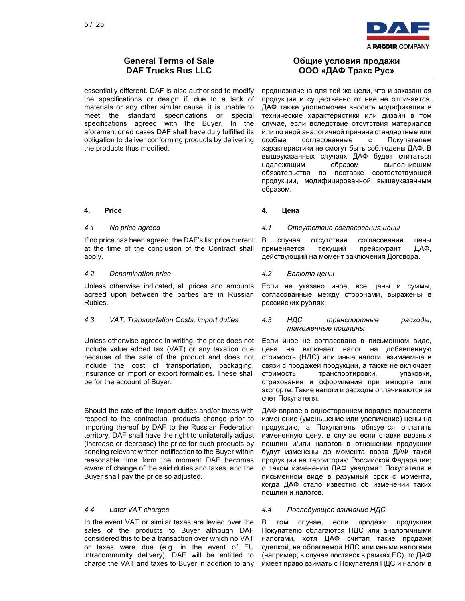

essentially different. DAF is also authorised to modify the specifications or design if, due to a lack of materials or any other similar cause, it is unable to meet the standard specifications or special specifications agreed with the Buyer. In the aforementioned cases DAF shall have duly fulfilled its obligation to deliver conforming products by delivering the products thus modified.

### 4. Price 4. Цена

If no price has been agreed, the DAF's list price current at the time of the conclusion of the Contract shall apply.

### 4.2 Denomination price 4.2 Валюта цены

Unless otherwise indicated, all prices and amounts agreed upon between the parties are in Russian Rubles.

Unless otherwise agreed in writing, the price does not include value added tax (VAT) or any taxation due because of the sale of the product and does not include the cost of transportation, packaging, insurance or import or export formalities. These shall be for the account of Buyer.

Should the rate of the import duties and/or taxes with respect to the contractual products change prior to importing thereof by DAF to the Russian Federation territory, DAF shall have the right to unilaterally adjust (increase or decrease) the price for such products by sending relevant written notification to the Buyer within reasonable time form the moment DAF becomes aware of change of the said duties and taxes, and the Buyer shall pay the price so adjusted.

In the event VAT or similar taxes are levied over the sales of the products to Buyer although DAF considered this to be a transaction over which no VAT or taxes were due (e.g. in the event of EU intracommunity delivery), DAF will be entitled to charge the VAT and taxes to Buyer in addition to any

## Общие условия продажи ООО «ДАФ Тракс Рус»

предназначена для той же цели, что и заказанная продукция и существенно от нее не отличается. ДАФ также уполномочен вносить модификации в технические характеристики или дизайн в том случае, если вследствие отсутствия материалов или по иной аналогичной причине стандартные или особые согласованные с Покупателем характеристики не смогут быть соблюдены ДАФ. В вышеуказанных случаях ДАФ будет считаться надлежащим образом выполнившим обязательства по поставке соответствующей продукции, модифицированной вышеуказанным образом.

### 4.1 No price agreed 4.1 Отсутствие согласования цены

В случае отсутствия согласования цены применяется текущий прейскурант ДАФ, действующий на момент заключения Договора.

Если не указано иное, все цены и суммы, согласованные между сторонами, выражены в российских рублях.

### 4.3 VAT, Transportation Costs, import duties 4.3 НДС, транспортные расходы, таможенные пошлины

Если иное не согласовано в письменном виде, цена не включает налог на добавленную стоимость (НДС) или иные налоги, взимаемые в связи с продажей продукции, а также не включает стоимость транспортировки, упаковки, страхования и оформления при импорте или экспорте. Такие налоги и расходы оплачиваются за счет Покупателя.

ДАФ вправе в одностороннем порядке произвести изменение (уменьшение или увеличение) цены на продукцию, а Покупатель обязуется оплатить измененную цену, в случае если ставки ввозных пошлин и/или налогов в отношении продукции будут изменены до момента ввоза ДАФ такой продукции на территорию Российской Федерации; о таком изменении ДАФ уведомит Покупателя в письменном виде в разумный срок с момента, когда ДАФ стало известно об изменении таких пошлин и налогов.

### 4.4 Later VAT charges 4.4 Последующее взимание НДС

В том случае, если продажи продукции Покупателю облагаются НДС или аналогичными налогами, хотя ДАФ считал такие продажи сделкой, не облагаемой НДС или иными налогами (например, в случае поставок в рамках ЕС), то ДАФ имеет право взимать с Покупателя НДС и налоги в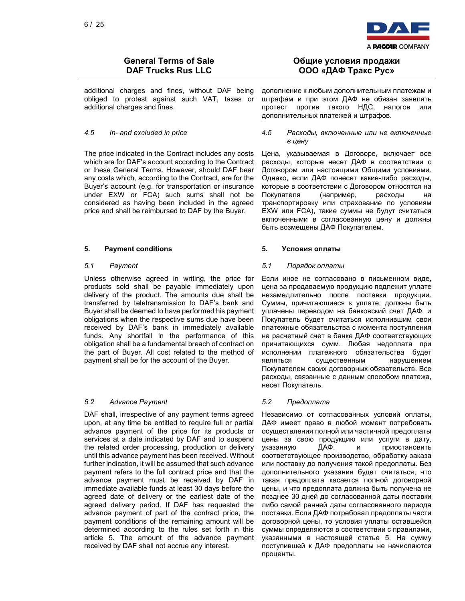

additional charges and fines, without DAF being obliged to protest against such VAT, taxes or additional charges and fines.

The price indicated in the Contract includes any costs which are for DAF's account according to the Contract or these General Terms. However, should DAF bear any costs which, according to the Contract, are for the Buyer's account (e.g. for transportation or insurance under EXW or FCA) such sums shall not be considered as having been included in the agreed price and shall be reimbursed to DAF by the Buyer.

### 5. Payment conditions 5. Условия оплаты

Unless otherwise agreed in writing, the price for products sold shall be payable immediately upon delivery of the product. The amounts due shall be transferred by teletransmission to DAF's bank and Buyer shall be deemed to have performed his payment obligations when the respective sums due have been received by DAF's bank in immediately available funds. Any shortfall in the performance of this obligation shall be a fundamental breach of contract on the part of Buyer. All cost related to the method of payment shall be for the account of the Buyer.

### 5.2 Advance Payment 5.2 Предоплата

DAF shall, irrespective of any payment terms agreed upon, at any time be entitled to require full or partial advance payment of the price for its products or services at a date indicated by DAF and to suspend the related order processing, production or delivery until this advance payment has been received. Without further indication, it will be assumed that such advance payment refers to the full contract price and that the advance payment must be received by DAF in immediate available funds at least 30 days before the agreed date of delivery or the earliest date of the agreed delivery period. If DAF has requested the advance payment of part of the contract price, the payment conditions of the remaining amount will be determined according to the rules set forth in this article 5. The amount of the advance payment received by DAF shall not accrue any interest.

## Общие условия продажи ООО «ДАФ Тракс Рус»

дополнение к любым дополнительным платежам и штрафам и при этом ДАФ не обязан заявлять протест против такого НДС, налогов или дополнительных платежей и штрафов.

### 4.5 In- and excluded in price 4.5 Расходы, включенные или не включенные в цену

Цена, указываемая в Договоре, включает все расходы, которые несет ДАФ в соответствии с Договором или настоящими Общими условиями. Однако, если ДАФ понесет какие-либо расходы, которые в соответствии с Договором относятся на Покупателя (например, расходы на транспортировку или страхование по условиям EXW или FCA), такие суммы не будут считаться включенными в согласованную цену и должны быть возмещены ДАФ Покупателем.

### 5.1 Payment 5.1 Порядок оплаты

Если иное не согласовано в письменном виде, цена за продаваемую продукцию подлежит уплате незамедлительно после поставки продукции. Суммы, причитающиеся к уплате, должны быть уплачены переводом на банковский счет ДАФ, и Покупатель будет считаться исполнившим свои платежные обязательства с момента поступления на расчетный счет в банке ДАФ соответствующих причитающихся сумм. Любая недоплата при исполнении платежного обязательства будет являться существенным нарушением Покупателем своих договорных обязательств. Все расходы, связанные с данным способом платежа, несет Покупатель.

Независимо от согласованных условий оплаты, ДАФ имеет право в любой момент потребовать осуществления полной или частичной предоплаты цены за свою продукцию или услуги в дату, указанную ДАФ, и приостановить соответствующее производство, обработку заказа или поставку до получения такой предоплаты. Без дополнительного указания будет считаться, что такая предоплата касается полной договорной цены, и что предоплата должна быть получена не позднее 30 дней до согласованной даты поставки либо самой ранней даты согласованного периода поставки. Если ДАФ потребовал предоплаты части договорной цены, то условия уплаты оставшейся суммы определяются в соответствии с правилами, указанными в настоящей статье 5. На сумму поступившей к ДАФ предоплаты не начисляются проценты.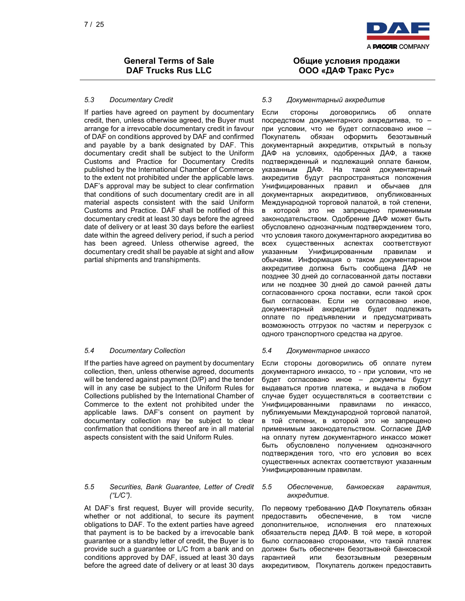

### 5.3 Documentary Credit 5.3 Документарный аккредитив

If parties have agreed on payment by documentary credit, then, unless otherwise agreed, the Buyer must arrange for a irrevocable documentary credit in favour of DAF on conditions approved by DAF and confirmed and payable by a bank designated by DAF. This documentary credit shall be subject to the Uniform Customs and Practice for Documentary Credits published by the International Chamber of Commerce to the extent not prohibited under the applicable laws. DAF's approval may be subject to clear confirmation that conditions of such documentary credit are in all material aspects consistent with the said Uniform Customs and Practice. DAF shall be notified of this documentary credit at least 30 days before the agreed date of delivery or at least 30 days before the earliest date within the agreed delivery period, if such a period has been agreed. Unless otherwise agreed, the documentary credit shall be payable at sight and allow partial shipments and transhipments.

If the parties have agreed on payment by documentary collection, then, unless otherwise agreed, documents will be tendered against payment (D/P) and the tender will in any case be subject to the Uniform Rules for Collections published by the International Chamber of Commerce to the extent not prohibited under the applicable laws. DAF's consent on payment by documentary collection may be subject to clear confirmation that conditions thereof are in all material aspects consistent with the said Uniform Rules.

### 5.5 Securities, Bank Guarantee, Letter of Credit  $($ "L/C").

At DAF's first request, Buyer will provide security, whether or not additional, to secure its payment obligations to DAF. To the extent parties have agreed that payment is to be backed by a irrevocable bank guarantee or a standby letter of credit, the Buyer is to provide such a guarantee or L/C from a bank and on conditions approved by DAF, issued at least 30 days before the agreed date of delivery or at least 30 days

Общие условия продажи ООО «ДАФ Тракс Рус»

Если стороны договорились об оплате посредством документарного аккредитива, то – при условии, что не будет согласовано иное – Покупатель обязан оформить безотзывный документарный аккредитив, открытый в пользу ДАФ на условиях, одобренных ДАФ, а также подтвержденный и подлежащий оплате банком, указанным ДАФ. На такой документарный аккредитив будут распространяться положения Унифицированных правил и обычаев для документарных аккредитивов, опубликованных Международной торговой палатой, в той степени, в которой это не запрещено применимым законодательством. Одобрение ДАФ может быть обусловлено однозначным подтверждением того, что условия такого документарного аккредитива во всех существенных аспектах соответствуют указанным Унифицированным правилам обычаям. Информация о таком документарном аккредитиве должна быть сообщена ДАФ не позднее 30 дней до согласованной даты поставки или не позднее 30 дней до самой ранней даты согласованного срока поставки, если такой срок был согласован. Если не согласовано иное, документарный аккредитив будет подлежать оплате по предъявлении и предусматривать возможность отгрузок по частям и перегрузок с одного транспортного средства на другое.

### 5.4 Documentary Collection 5.4 Документарное инкассо

Если стороны договорились об оплате путем документарного инкассо, то - при условии, что не будет согласовано иное – документы будут выдаваться против платежа, и выдача в любом случае будет осуществляться в соответствии с Унифицированными правилами по инкассо, публикуемыми Международной торговой палатой, в той степени, в которой это не запрещено применимым законодательством. Согласие ДАФ на оплату путем документарного инкассо может быть обусловлено получением однозначного подтверждения того, что его условия во всех существенных аспектах соответствуют указанным Унифицированным правилам.

### 5.5 Обеспечение, банковская гарантия, аккредитив.

По первому требованию ДАФ Покупатель обязан предоставить обеспечение, в том числе дополнительное, исполнения его платежных обязательств перед ДАФ. В той мере, в которой было согласовано сторонами, что такой платеж должен быть обеспечен безотзывной банковской гарантией или безотзывным резервным аккредитивом, Покупатель должен предоставить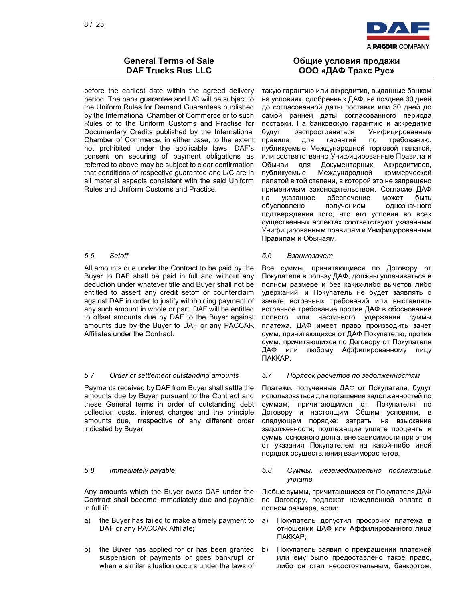

before the earliest date within the agreed delivery period, The bank guarantee and L/C will be subject to the Uniform Rules for Demand Guarantees published by the International Chamber of Commerce or to such Rules of to the Uniform Customs and Practise for Documentary Credits published by the International Chamber of Commerce, in either case, to the extent not prohibited under the applicable laws. DAF's consent on securing of payment obligations as referred to above may be subject to clear confirmation that conditions of respective guarantee and L/C are in all material aspects consistent with the said Uniform Rules and Uniform Customs and Practice.

All amounts due under the Contract to be paid by the Buyer to DAF shall be paid in full and without any deduction under whatever title and Buyer shall not be entitled to assert any credit setoff or counterclaim against DAF in order to justify withholding payment of any such amount in whole or part. DAF will be entitled to offset amounts due by DAF to the Buyer against amounts due by the Buyer to DAF or any PACCAR Affiliates under the Contract.

### 5.7 Order of settlement outstanding amounts 5.7 Порядок расчетов по задолженностям

Payments received by DAF from Buyer shall settle the amounts due by Buyer pursuant to the Contract and these General terms in order of outstanding debt collection costs, interest charges and the principle amounts due, irrespective of any different order indicated by Buyer

Any amounts which the Buyer owes DAF under the Contract shall become immediately due and payable in full if:

- a) the Buyer has failed to make a timely payment to DAF or any PACCAR Affiliate;
- b) the Buyer has applied for or has been granted suspension of payments or goes bankrupt or when a similar situation occurs under the laws of

## Общие условия продажи ООО «ДАФ Тракс Рус»

такую гарантию или аккредитив, выданные банком на условиях, одобренных ДАФ, не позднее 30 дней до согласованной даты поставки или 30 дней до самой ранней даты согласованного периода поставки. На банковскую гарантию и аккредитив будут распространяться Унифицированные правила для гарантий по требованию, публикуемые Международной торговой палатой, или соответственно Унифицированные Правила и Обычаи для Документарных Аккредитивов, публикуемые Международной коммерческой палатой в той степени, в которой это не запрещено применимым законодательством. Согласие ДАФ на указанное обеспечение может быть обусловлено получением однозначного подтверждения того, что его условия во всех существенных аспектах соответствуют указанным Унифицированным правилам и Унифицированным Правилам и Обычаям.

### 5.6 Setoff 5.6 Взаимозачет

Все суммы, причитающиеся по Договору от Покупателя в пользу ДАФ, должны уплачиваться в полном размере и без каких-либо вычетов либо удержаний, и Покупатель не будет заявлять о зачете встречных требований или выставлять встречное требование против ДАФ в обоснование полного или частичного удержания суммы платежа. ДАФ имеет право производить зачет сумм, причитающихся от ДАФ Покупателю, против сумм, причитающихся по Договору от Покупателя ДАФ или любому Аффилированному лицу ПАККАР.

Платежи, полученные ДАФ от Покупателя, будут использоваться для погашения задолженностей по суммам, причитающимся от Покупателя по Договору и настоящим Общим условиям, в следующем порядке: затраты на взыскание задолженности, подлежащие уплате проценты и суммы основного долга, вне зависимости при этом от указания Покупателем на какой-либо иной порядок осуществления взаиморасчетов.

### 5.8 Immediately payable 5.8 Суммы, незамедлительно подлежащие уплате

Любые суммы, причитающиеся от Покупателя ДАФ по Договору, подлежат немедленной оплате в полном размере, если:

- а) Покупатель допустил просрочку платежа в отношении ДАФ или Аффилированного лица ПАККАР;
- b) Покупатель заявил о прекращении платежей или ему было предоставлено такое право, либо он стал несостоятельным, банкротом,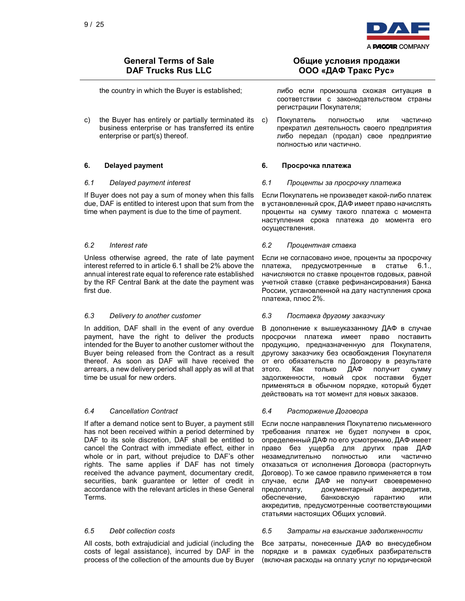

c) the Buyer has entirely or partially terminated its business enterprise or has transferred its entire enterprise or part(s) thereof.

If Buyer does not pay a sum of money when this falls due, DAF is entitled to interest upon that sum from the time when payment is due to the time of payment.

Unless otherwise agreed, the rate of late payment interest referred to in article 6.1 shall be 2% above the annual interest rate equal to reference rate established by the RF Central Bank at the date the payment was first due.

In addition, DAF shall in the event of any overdue payment, have the right to deliver the products intended for the Buyer to another customer without the Buyer being released from the Contract as a result thereof. As soon as DAF will have received the arrears, a new delivery period shall apply as will at that time be usual for new orders.

If after a demand notice sent to Buyer, a payment still has not been received within a period determined by DAF to its sole discretion, DAF shall be entitled to cancel the Contract with immediate effect, either in whole or in part, without prejudice to DAF's other rights. The same applies if DAF has not timely received the advance payment, documentary credit, securities, bank guarantee or letter of credit in accordance with the relevant articles in these General Terms.

All costs, both extrajudicial and judicial (including the costs of legal assistance), incurred by DAF in the process of the collection of the amounts due by Buyer

## Общие условия продажи ООО «ДАФ Тракс Рус»

the country in which the Buyer is established; либо если произошла схожая ситуация в соответствии с законодательством страны регистрации Покупателя;

> с) Покупатель полностью или частично прекратил деятельность своего предприятия либо передал (продал) свое предприятие полностью или частично.

### 6. Delayed payment 6. Просрочка платежа

### 6.1 Delayed payment interest 6.1 Проценты за просрочку платежа

Если Покупатель не произведет какой-либо платеж в установленный срок, ДАФ имеет право начислять проценты на сумму такого платежа с момента наступления срока платежа до момента его осуществления.

### 6.2 Interest rate 6.2 Процентная ставка

Если не согласовано иное, проценты за просрочку платежа, предусмотренные в статье 6.1., начисляются по ставке процентов годовых, равной учетной ставке (ставке рефинансирования) Банка России, установленной на дату наступления срока платежа, плюс 2%.

### 6.3 Delivery to another customer 6.3 Поставка другому заказчику

В дополнение к вышеуказанному ДАФ в случае просрочки платежа имеет право поставить продукцию, предназначенную для Покупателя, другому заказчику без освобождения Покупателя от его обязательств по Договору в результате<br>этого. Как только ДАФ получит сумму этого. Как только ДАФ получит сумму задолженности, новый срок поставки будет применяться в обычном порядке, который будет действовать на тот момент для новых заказов.

### 6.4 Cancellation Contract 6.4 Расторжение Договора

Если после направления Покупателю письменного требования платеж не будет получен в срок, определенный ДАФ по его усмотрению, ДАФ имеет право без ущерба для других прав ДАФ незамедлительно полностью или частично отказаться от исполнения Договора (расторгнуть Договор). То же самое правило применяется в том случае, если ДАФ не получит своевременно предоплату, документарный аккредитив, обеспечение, банковскую гарантию или аккредитив, предусмотренные соответствующими статьями настоящих Общих условий.

### 6.5 Debt collection costs 6.5 Затраты на взыскание задолженности

Все затраты, понесенные ДАФ во внесудебном порядке и в рамках судебных разбирательств (включая расходы на оплату услуг по юридической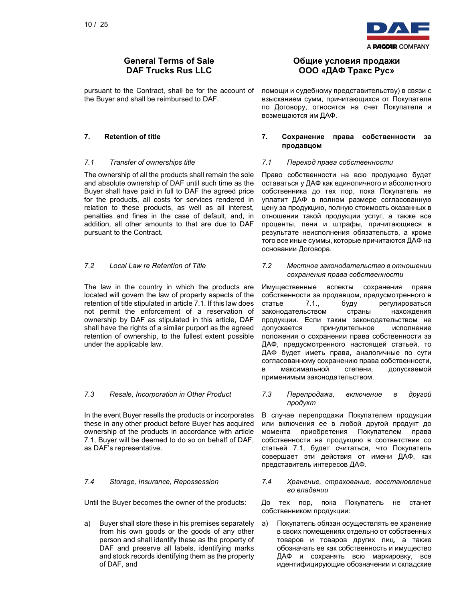

pursuant to the Contract, shall be for the account of the Buyer and shall be reimbursed to DAF.

The ownership of all the products shall remain the sole and absolute ownership of DAF until such time as the Buyer shall have paid in full to DAF the agreed price for the products, all costs for services rendered in relation to these products, as well as all interest, penalties and fines in the case of default, and, in addition, all other amounts to that are due to DAF pursuant to the Contract.

The law in the country in which the products are located will govern the law of property aspects of the retention of title stipulated in article 7.1. If this law does not permit the enforcement of a reservation of ownership by DAF as stipulated in this article, DAF shall have the rights of a similar purport as the agreed retention of ownership, to the fullest extent possible under the applicable law.

In the event Buyer resells the products or incorporates these in any other product before Buyer has acquired ownership of the products in accordance with article 7.1, Buyer will be deemed to do so on behalf of DAF, as DAF's representative.

a) Buyer shall store these in his premises separately from his own goods or the goods of any other person and shall identify these as the property of DAF and preserve all labels, identifying marks and stock records identifying them as the property of DAF, and

## Общие условия продажи ООО «ДАФ Тракс Рус»

помощи и судебному представительству) в связи с взысканием сумм, причитающихся от Покупателя по Договору, относятся на счет Покупателя и возмещаются им ДАФ.

### 7. Retention of title 7. Сохранение права собственности за продавцом

### 7.1 Transfer of ownerships title 7.1 Переход права собственности

Право собственности на всю продукцию будет оставаться у ДАФ как единоличного и абсолютного собственника до тех пор, пока Покупатель не уплатит ДАФ в полном размере согласованную цену за продукцию, полную стоимость оказанных в отношении такой продукции услуг, а также все проценты, пени и штрафы, причитающиеся в результате неисполнения обязательств, а кроме того все иные суммы, которые причитаются ДАФ на основании Договора.

7.2 Local Law re Retention of Title 7.2 Местное законодательство в отношении сохранения права собственности

> Имущественные аспекты сохранения права собственности за продавцом, предусмотренного в статье 7.1., буду регулироваться законодательством страны нахождения продукции. Если таким законодательством не допускается принудительное исполнение положения о сохранении права собственности за ДАФ, предусмотренного настоящей статьей, то ДАФ будет иметь права, аналогичные по сути согласованному сохранению права собственности, в максимальной степени, допускаемой применимым законодательством.

7.3 Resale, Incorporation in Other Product 7.3 Перепродажа, включение в другой продукт

> В случае перепродажи Покупателем продукции или включения ее в любой другой продукт до момента приобретения Покупателем права собственности на продукцию в соответствии со статьей 7.1, будет считаться, что Покупатель совершает эти действия от имени ДАФ, как представитель интересов ДАФ.

7.4 Storage, Insurance, Repossession 7.4 Хранение, страхование, восстановление во владении

Until the Buyer becomes the owner of the products: До тех пор, пока Покупатель не станет собственником продукции:

> а) Покупатель обязан осуществлять ее хранение в своих помещениях отдельно от собственных товаров и товаров других лиц, а также обозначать ее как собственность и имущество ДАФ и сохранять всю маркировку, все идентифицирующие обозначении и складские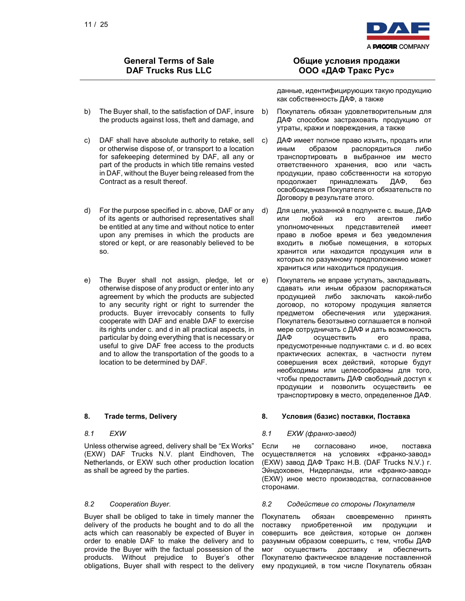

- b) The Buyer shall, to the satisfaction of DAF, insure b) the products against loss, theft and damage, and
- c) DAF shall have absolute authority to retake, sell or otherwise dispose of, or transport to a location for safekeeping determined by DAF, all any or part of the products in which title remains vested in DAF, without the Buyer being released from the Contract as a result thereof.
- d) For the purpose specified in c. above, DAF or any of its agents or authorised representatives shall be entitled at any time and without notice to enter upon any premises in which the products are stored or kept, or are reasonably believed to be so.
- e) The Buyer shall not assign, pledge, let or otherwise dispose of any product or enter into any agreement by which the products are subjected to any security right or right to surrender the products. Buyer irrevocably consents to fully cooperate with DAF and enable DAF to exercise its rights under c. and d in all practical aspects, in particular by doing everything that is necessary or useful to give DAF free access to the products and to allow the transportation of the goods to a location to be determined by DAF.

Unless otherwise agreed, delivery shall be "Ex Works" (EXW) DAF Trucks N.V. plant Eindhoven, The Netherlands, or EXW such other production location as shall be agreed by the parties.

Buyer shall be obliged to take in timely manner the delivery of the products he bought and to do all the acts which can reasonably be expected of Buyer in order to enable DAF to make the delivery and to provide the Buyer with the factual possession of the products. Without prejudice to Buyer's other obligations, Buyer shall with respect to the delivery

## Общие условия продажи ООО «ДАФ Тракс Рус»

данные, идентифицирующих такую продукцию как собственность ДАФ, а также

- b) Покупатель обязан удовлетворительным для ДАФ способом застраховать продукцию от утраты, кражи и повреждения, а также
- с) ДАФ имеет полное право изъять, продать или иным образом распорядиться либо транспортировать в выбранное им место ответственного хранения, всю или часть продукции, право собственности на которую продолжает принадлежать ДАФ, без освобождения Покупателя от обязательств по Договору в результате этого.
- d) Для цели, указанной в подпункте с. выше, ДАФ или любой из его агентов либо уполномоченных представителей имеет право в любое время и без уведомления входить в любые помещения, в которых хранится или находится продукция или в которых по разумному предположению может храниться или находиться продукция.
- е) Покупатель не вправе уступать, закладывать, сдавать или иным образом распоряжаться продукцией либо заключать какой-либо договор, по которому продукция является предметом обеспечения или удержания. Покупатель безотзывно соглашается в полной мере сотрудничать с ДАФ и дать возможность ДАФ осуществить его права, предусмотренные подпунктами с. и d. во всех практических аспектах, в частности путем совершения всех действий, которые будут необходимы или целесообразны для того, чтобы предоставить ДАФ свободный доступ к продукции и позволить осуществить ее транспортировку в место, определенное ДАФ.

### 8. Trade terms, Delivery 8. Условия (базис) поставки, Поставка

### 8.1 EXW **EXW** 8.1 EXW (франко-завод)

Если не согласовано иное, поставка осуществляется на условиях «франко-завод» (EXW) завод ДАФ Тракс Н.В. (DAF Trucks N.V.) г. Эйндоховен, Нидерланды, или «франко-завод» (EXW) иное место производства, согласованное сторонами.

### 8.2 Cooperation Buyer. 8.2 Содействие со стороны Покупателя

Покупатель обязан своевременно принять поставку приобретенной им продукции и совершить все действия, которые он должен разумным образом совершить, с тем, чтобы ДАФ мог осуществить доставку и обеспечить Покупателю фактическое владение поставленной ему продукцией, в том числе Покупатель обязан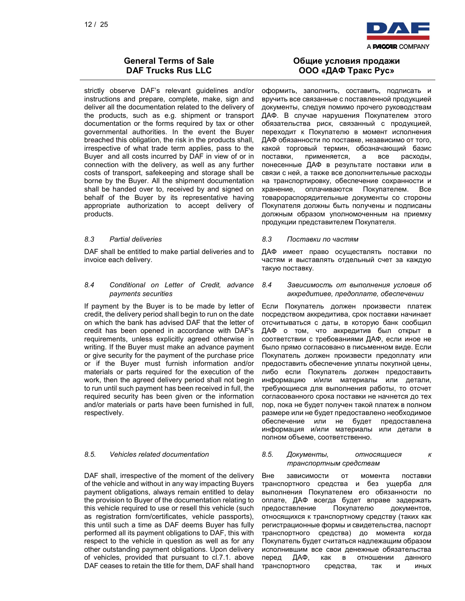

strictly observe DAF's relevant guidelines and/or instructions and prepare, complete, make, sign and deliver all the documentation related to the delivery of the products, such as e.g. shipment or transport documentation or the forms required by tax or other governmental authorities. In the event the Buyer breached this obligation, the risk in the products shall, irrespective of what trade term applies, pass to the Buyer and all costs incurred by DAF in view of or in connection with the delivery, as well as any further costs of transport, safekeeping and storage shall be borne by the Buyer. All the shipment documentation shall be handed over to, received by and signed on behalf of the Buyer by its representative having appropriate authorization to accept delivery of products.

DAF shall be entitled to make partial deliveries and to invoice each delivery.

### 8.4 Conditional on Letter of Credit, advance payments securities

If payment by the Buyer is to be made by letter of credit, the delivery period shall begin to run on the date on which the bank has advised DAF that the letter of credit has been opened in accordance with DAF's requirements, unless explicitly agreed otherwise in writing. If the Buyer must make an advance payment or give security for the payment of the purchase price or if the Buyer must furnish information and/or materials or parts required for the execution of the work, then the agreed delivery period shall not begin to run until such payment has been received in full, the required security has been given or the information and/or materials or parts have been furnished in full, respectively.

DAF shall, irrespective of the moment of the delivery of the vehicle and without in any way impacting Buyers payment obligations, always remain entitled to delay the provision to Buyer of the documentation relating to this vehicle required to use or resell this vehicle (such as registration form/certificates, vehicle passports), this until such a time as DAF deems Buyer has fully performed all its payment obligations to DAF, this with respect to the vehicle in question as well as for any other outstanding payment obligations. Upon delivery of vehicles, provided that pursuant to cl.7.1. above DAF ceases to retain the title for them, DAF shall hand

## Общие условия продажи ООО «ДАФ Тракс Рус»

оформить, заполнить, составить, подписать и вручить все связанные с поставленной продукцией документы, следуя помимо прочего руководствам ДАФ. В случае нарушения Покупателем этого обязательства риск, связанный с продукцией, переходит к Покупателю в момент исполнения ДАФ обязанности по поставке, независимо от того, какой торговый термин, обозначающий базис поставки, применяется, а все расходы, понесенные ДАФ в результате поставки или в связи с ней, а также все дополнительные расходы на транспортировку, обеспечение сохранности и хранение, оплачиваются Покупателем. Все товарораспорядительные документы со стороны Покупателя должны быть получены и подписаны должным образом уполномоченным на приемку продукции представителем Покупателя.

### 8.3 Partial deliveries 8.3 Поставки по частям

ДАФ имеет право осуществлять поставки по частям и выставлять отдельный счет за каждую такую поставку.

8.4 Зависимость от выполнения условия об аккредитиве, предоплате, обеспечении

Если Покупатель должен произвести платеж посредством аккредитива, срок поставки начинает отсчитываться с даты, в которую банк сообщил ДАФ о том, что аккредитив был открыт в соответствии с требованиями ДАФ, если иное не было прямо согласовано в письменном виде. Если Покупатель должен произвести предоплату или предоставить обеспечение уплаты покупной цены, либо если Покупатель должен предоставить информацию и/или материалы или детали, требующиеся для выполнения работы, то отсчет согласованного срока поставки не начнется до тех пор, пока не будет получен такой платеж в полном размере или не будет предоставлено необходимое обеспечение или не будет предоставлена информация и/или материалы или детали в полном объеме, соответственно.

8.5. Vehicles related documentation 8.5. Документы, относящиеся к транспортным средствам

> Вне зависимости от момента поставки транспортного средства и без ущерба для выполнения Покупателем его обязанности по оплате, ДАФ всегда будет вправе задержать предоставление Покупателю документов, относящихся к транспортному средству (таких как регистрационные формы и свидетельства, паспорт транспортного средства) до момента когда Покупатель будет считаться надлежащим образом исполнившим все свои денежные обязательства перед ДАФ, как в отношении данного транспортного средства, так и иных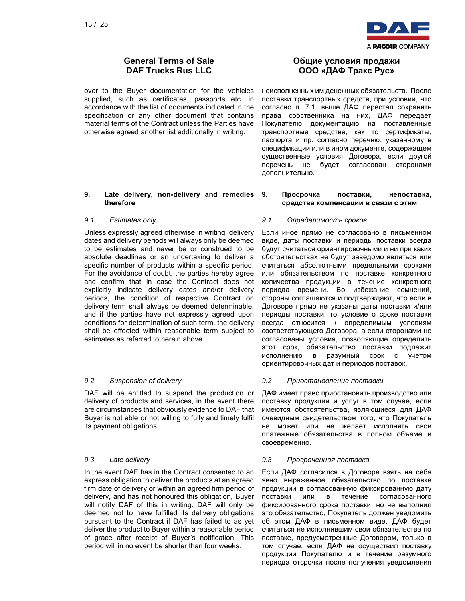

over to the Buyer documentation for the vehicles supplied, such as certificates, passports etc. in accordance with the list of documents indicated in the specification or any other document that contains material terms of the Contract unless the Parties have otherwise agreed another list additionally in writing.

### 9. Late delivery, non-delivery and remedies therefore

Unless expressly agreed otherwise in writing, delivery dates and delivery periods will always only be deemed to be estimates and never be or construed to be absolute deadlines or an undertaking to deliver a specific number of products within a specific period. For the avoidance of doubt, the parties hereby agree and confirm that in case the Contract does not explicitly indicate delivery dates and/or delivery periods, the condition of respective Contract on delivery term shall always be deemed determinable, and if the parties have not expressly agreed upon conditions for determination of such term, the delivery shall be effected within reasonable term subject to estimates as referred to herein above.

DAF will be entitled to suspend the production or delivery of products and services, in the event there are circumstances that obviously evidence to DAF that Buyer is not able or not willing to fully and timely fulfil its payment obligations.

In the event DAF has in the Contract consented to an express obligation to deliver the products at an agreed firm date of delivery or within an agreed firm period of delivery, and has not honoured this obligation, Buyer will notify DAF of this in writing. DAF will only be deemed not to have fulfilled its delivery obligations pursuant to the Contract if DAF has failed to as yet deliver the product to Buyer within a reasonable period of grace after receipt of Buyer's notification. This period will in no event be shorter than four weeks.

## Общие условия продажи ООО «ДАФ Тракс Рус»

неисполненных им денежных обязательств. После поставки транспортных средств, при условии, что согласно п. 7.1. выше ДАФ перестал сохранять права собственника на них, ДАФ передает Покупателю документацию на поставленные транспортные средства, как то сертификаты, паспорта и пр. согласно перечню, указанному в спецификации или в ином документе, содержащем существенные условия Договора, если другой перечень не будет согласован сторонами дополнительно.

### 9. Просрочка поставки, непоставка, средства компенсации в связи с этим

### 9.1 Estimates only. 9.1 Определимость сроков.

Если иное прямо не согласовано в письменном виде, даты поставки и периоды поставки всегда будут считаться ориентировочными и ни при каких обстоятельствах не будут заведомо являться или считаться абсолютными предельными сроками или обязательством по поставке конкретного количества продукции в течение конкретного периода времени. Во избежание сомнений, стороны соглашаются и подтверждают, что если в Договоре прямо не указаны даты поставки и/или периоды поставки, то условие о сроке поставки всегда относится к определимым условиям соответствующего Договора, а если сторонами не согласованы условия, позволяющие определить этот срок, обязательство поставки подлежит исполнению в разумный срок с учетом ориентировочных дат и периодов поставок.

### 9.2 Suspension of delivery 9.2 Приостановление поставки

ДАФ имеет право приостановить производство или поставку продукции и услуг в том случае, если имеются обстоятельства, являющиеся для ДАФ очевидным свидетельством того, что Покупатель не может или не желает исполнять свои платежные обязательства в полном объеме и своевременно.

### 9.3 Late delivery 9.3 Просроченная поставка

Если ДАФ согласился в Договоре взять на себя явно выраженное обязательство по поставке продукции в согласованную фиксированную дату поставки или в течение согласованного фиксированного срока поставки, но не выполнил это обязательство, Покупатель должен уведомить об этом ДАФ в письменном виде. ДАФ будет считаться не исполнившим свои обязательства по поставке, предусмотренные Договором, только в том случае, если ДАФ не осуществил поставку продукции Покупателю и в течение разумного периода отсрочки после получения уведомления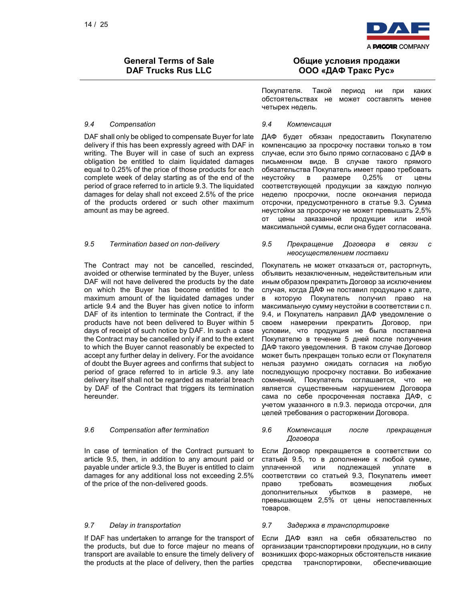

### 9.4 Compensation 9.4 Компенсация

DAF shall only be obliged to compensate Buyer for late delivery if this has been expressly agreed with DAF in writing. The Buyer will in case of such an express obligation be entitled to claim liquidated damages equal to 0.25% of the price of those products for each complete week of delay starting as of the end of the period of grace referred to in article 9.3. The liquidated damages for delay shall not exceed 2.5% of the price of the products ordered or such other maximum amount as may be agreed.

The Contract may not be cancelled, rescinded, avoided or otherwise terminated by the Buyer, unless DAF will not have delivered the products by the date on which the Buyer has become entitled to the maximum amount of the liquidated damages under article 9.4 and the Buyer has given notice to inform DAF of its intention to terminate the Contract, if the products have not been delivered to Buyer within 5 days of receipt of such notice by DAF. In such a case the Contract may be cancelled only if and to the extent to which the Buyer cannot reasonably be expected to accept any further delay in delivery. For the avoidance of doubt the Buyer agrees and confirms that subject to period of grace referred to in article 9.3. any late delivery itself shall not be regarded as material breach by DAF of the Contract that triggers its termination hereunder.

In case of termination of the Contract pursuant to article 9.5, then, in addition to any amount paid or payable under article 9.3, the Buyer is entitled to claim damages for any additional loss not exceeding 2.5% of the price of the non-delivered goods.

If DAF has undertaken to arrange for the transport of the products, but due to force majeur no means of transport are available to ensure the timely delivery of the products at the place of delivery, then the parties

## Общие условия продажи ООО «ДАФ Тракс Рус»

Покупателя. Такой период ни при каких обстоятельствах не может составлять менее четырех недель.

ДАФ будет обязан предоставить Покупателю компенсацию за просрочку поставки только в том случае, если это было прямо согласовано с ДАФ в письменном виде. В случае такого прямого обязательства Покупатель имеет право требовать неустойку в размере 0,25% от цены соответствующей продукции за каждую полную неделю просрочки, после окончания периода отсрочки, предусмотренного в статье 9.3. Сумма неустойки за просрочку не может превышать 2,5% от цены заказанной продукции или иной максимальной суммы, если она будет согласована.

### 9.5 Termination based on non-delivery 9.5 Прекращение Договора в связи с неосуществлением поставки

Покупатель не может отказаться от, расторгнуть, объявить незаключенным, недействительным или иным образом прекратить Договор за исключением случая, когда ДАФ не поставил продукцию к дате, в которую Покупатель получил право на максимальную сумму неустойки в соответствии с п. 9.4, и Покупатель направил ДАФ уведомление о своем намерении прекратить Договор, при условии, что продукция не была поставлена Покупателю в течение 5 дней после получения ДАФ такого уведомления. В таком случае Договор может быть прекращен только если от Покупателя нельзя разумно ожидать согласия на любую последующую просрочку поставки. Во избежание сомнений, Покупатель соглашается, что не является существенным нарушением Договора сама по себе просроченная поставка ДАФ, с учетом указанного в п.9.3. периода отсрочки, для целей требования о расторжении Договора.

### 9.6 Compensation after termination 9.6 Компенсация после прекращения Договора

Если Договор прекращается в соответствии со статьей 9.5, то в дополнение к любой сумме, уплаченной или подлежащей уплате в соответствии со статьей 9.3, Покупатель имеет право требовать возмещения любых дополнительных убытков в размере, не превышающем 2,5% от цены непоставленных товаров.

### 9.7 Delay in transportation 9.7 Задержка в транспортировке

Если ДАФ взял на себя обязательство по организации транспортировки продукции, но в силу возникших форс-мажорных обстоятельств никакие средства транспортировки, обеспечивающие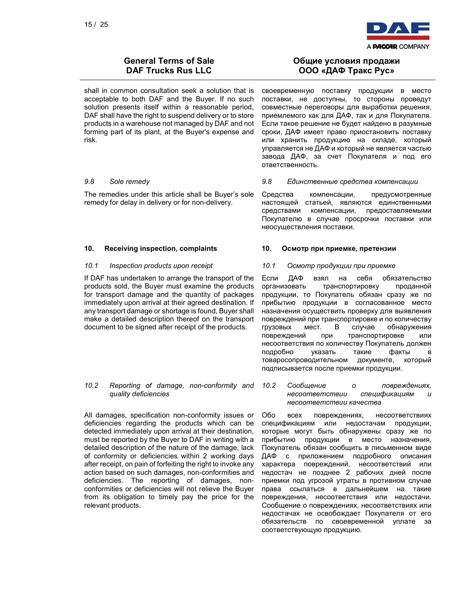

shall in common consultation seek a solution that is acceptable to both DAF and the Buyer. If no such solution presents itself within a reasonable period, DAF shall have the right to suspend delivery or to store products in a warehouse not managed by DAF and not forming part of its plant, at the Buyer's expense and risk.

The remedies under this article shall be Buyer's sole remedy for delay in delivery or for non-delivery.

If DAF has undertaken to arrange the transport of the products sold, the Buyer must examine the products for transport damage and the quantity of packages immediately upon arrival at their agreed destination. If any transport damage or shortage is found, Buyer shall make a detailed description thereof on the transport document to be signed after receipt of the products.

### 10.2 Reporting of damage, non-conformity and quality deficiencies

All damages, specification non-conformity issues or deficiencies regarding the products which can be detected immediately upon arrival at their destination, must be reported by the Buyer to DAF in writing with a detailed description of the nature of the damage, lack of conformity or deficiencies within 2 working days after receipt, on pain of forfeiting the right to invoke any action based on such damages, non-conformities and deficiencies. The reporting of damages, nonconformities or deficiencies will not relieve the Buyer from its obligation to timely pay the price for the relevant products.

## Общие условия продажи ООО «ДАФ Тракс Рус»

своевременную поставку продукции в место поставки, не доступны, то стороны проведут совместные переговоры для выработки решения, приемлемого как для ДАФ, так и для Покупателя. Если такое решение не будет найдено в разумные сроки, ДАФ имеет право приостановить поставку или хранить продукцию на складе, который управляется не ДАФ и который не является частью завода ДАФ, за счет Покупателя и под его ответственность.

### 9.8 Sole remedy 9.8 Единственные средства компенсации

Средства компенсации, предусмотренные настоящей статьей, являются единственными средствами компенсации, предоставляемыми Покупателю в случае просрочки поставки или неосуществления поставки.

### 10. Receiving inspection, complaints 10. Осмотр при приемке, претензии

### 10.1 Inspection products upon receipt 10.1 Осмотр продукции при приемке

Если ДАФ взял на себя обязательство организовать транспортировку проданной продукции, то Покупатель обязан сразу же по прибытию продукции в согласованное место назначения осуществить проверку для выявления повреждений при транспортировке и по количеству грузовых мест. В случае обнаружения повреждений при транспортировке или несоответствия по количеству Покупатель должен подробно указать такие факты в товаросопроводительном документе, который подписывается после приемки продукции.

10.2 Сообщение о повреждениях, несоответствии спецификациям несоответствии качества

Обо всех повреждениях, несоответствиях спецификациям или недостачам продукции, которые могут быть обнаружены сразу же по прибытию продукции в место назначения, Покупатель обязан сообщить в письменном виде ДАФ с приложением подробного описания характера повреждений, несоответствий или недостач не позднее 2 рабочих дней после приемки под угрозой утраты в противном случае права ссылаться в дальнейшем на такие повреждения, несоответствия или недостачи. Сообщение о повреждениях, несоответствиях или недостачах не освобождает Покупателя от его обязательств по своевременной уплате за соответствующую продукцию.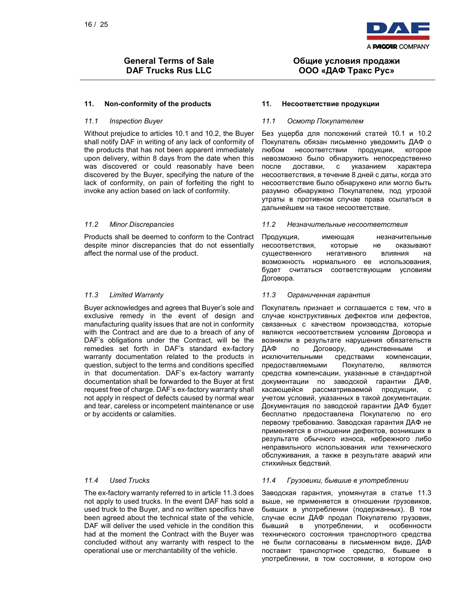

### 11. Non-conformity of the products 11. Несоответствие продукции

Without prejudice to articles 10.1 and 10.2, the Buyer shall notify DAF in writing of any lack of conformity of the products that has not been apparent immediately upon delivery, within 8 days from the date when this was discovered or could reasonably have been discovered by the Buyer, specifying the nature of the lack of conformity, on pain of forfeiting the right to invoke any action based on lack of conformity.

Products shall be deemed to conform to the Contract despite minor discrepancies that do not essentially affect the normal use of the product.

Buyer acknowledges and agrees that Buyer's sole and exclusive remedy in the event of design and manufacturing quality issues that are not in conformity with the Contract and are due to a breach of any of DAF's obligations under the Contract, will be the remedies set forth in DAF's standard ex-factory warranty documentation related to the products in question, subject to the terms and conditions specified in that documentation. DAF's ex-factory warranty documentation shall be forwarded to the Buyer at first request free of charge. DAF's ex-factory warranty shall not apply in respect of defects caused by normal wear and tear, careless or incompetent maintenance or use or by accidents or calamities.

The ex-factory warranty referred to in article 11.3 does not apply to used trucks. In the event DAF has sold a used truck to the Buyer, and no written specifics have been agreed about the technical state of the vehicle, DAF will deliver the used vehicle in the condition this had at the moment the Contract with the Buyer was concluded without any warranty with respect to the operational use or merchantability of the vehicle.

## Общие условия продажи ООО «ДАФ Тракс Рус»

### 11.1 Inspection Buyer 11.1 Осмотр Покупателем

Без ущерба для положений статей 10.1 и 10.2 Покупатель обязан письменно уведомить ДАФ о любом несоответствии продукции, которое невозможно было обнаружить непосредственно после доставки, с указанием характера несоответствия, в течение 8 дней с даты, когда это несоответствие было обнаружено или могло быть разумно обнаружено Покупателем, под угрозой утраты в противном случае права ссылаться в дальнейшем на такое несоответствие.

### 11.2 Minor Discrepancies 11.2 Незначительные несоответствия

Продукция, имеющая незначительные несоответствия, которые не оказывают существенного негативного влияния на возможность нормального ее использования, будет считаться соответствующим условиям Договора.

### 11.3 Limited Warranty 11.3 Ограниченная гарантия

Покупатель признает и соглашается с тем, что в случае конструктивных дефектов или дефектов, связанных с качеством производства, которые являются несоответствием условиям Договора и возникли в результате нарушения обязательств ДАФ по Договору, единственными и исключительными средствами компенсации, предоставляемыми Покупателю, являются средства компенсации, указанные в стандартной документации по заводской гарантии ДАФ, касающейся рассматриваемой продукции, с учетом условий, указанных в такой документации. Документация по заводской гарантии ДАФ будет бесплатно предоставлена Покупателю по его первому требованию. Заводская гарантия ДАФ не применяется в отношении дефектов, возникших в результате обычного износа, небрежного либо неправильного использования или технического обслуживания, а также в результате аварий или стихийных бедствий.

### 11.4 Used Trucks 11.4 Грузовики, бывшие в употреблении

Заводская гарантия, упомянутая в статье 11.3 выше, не применяется в отношении грузовиков, бывших в употреблении (подержанных). В том случае если ДАФ продал Покупателю грузовик, бывший в употреблении, и особенности технического состояния транспортного средства не были согласованы в письменном виде, ДАФ поставит транспортное средство, бывшее в употреблении, в том состоянии, в котором оно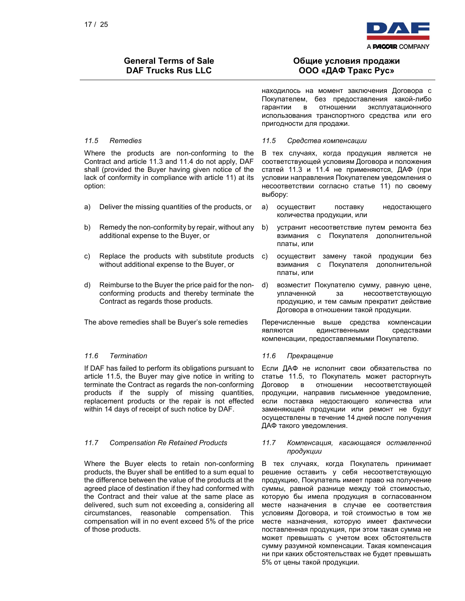

# Общие условия продажи ООО «ДАФ Тракс Рус»

находилось на момент заключения Договора с Покупателем, без предоставления какой-либо гарантии в отношении эксплуатационного использования транспортного средства или его пригодности для продажи.

Where the products are non-conforming to the Contract and article 11.3 and 11.4 do not apply, DAF shall (provided the Buyer having given notice of the lack of conformity in compliance with article 11) at its option:

- 
- b) Remedy the non-conformity by repair, without any additional expense to the Buyer, or
- c) Replace the products with substitute products without additional expense to the Buyer, or
- d) Reimburse to the Buyer the price paid for the nonconforming products and thereby terminate the Contract as regards those products.

If DAF has failed to perform its obligations pursuant to article 11.5, the Buyer may give notice in writing to terminate the Contract as regards the non-conforming products if the supply of missing quantities, replacement products or the repair is not effected within 14 days of receipt of such notice by DAF.

Where the Buyer elects to retain non-conforming products, the Buyer shall be entitled to a sum equal to the difference between the value of the products at the agreed place of destination if they had conformed with the Contract and their value at the same place as delivered, such sum not exceeding a, considering all circumstances, reasonable compensation. This compensation will in no event exceed 5% of the price of those products.

### 11.5 Remedies 11.5 Средства компенсации

В тех случаях, когда продукция является не соответствующей условиям Договора и положения статей 11.3 и 11.4 не применяются, ДАФ (при условии направления Покупателем уведомления о несоответствии согласно статье 11) по своему выбору:

- a) Deliver the missing quantities of the products, or а) осуществит поставку недостающего количества продукции, или
	- b) устранит несоответствие путем ремонта без взимания с Покупателя дополнительной платы, или
	- с) осуществит замену такой продукции без взимания с Покупателя дополнительной платы, или
	- d) возместит Покупателю сумму, равную цене, уплаченной за несоответствующую продукцию, и тем самым прекратит действие Договора в отношении такой продукции.

The above remedies shall be Buyer's sole remedies Перечисленные выше средства компенсации являются единственными средствами компенсации, предоставляемыми Покупателю.

### 11.6 Termination 11.6 Прекращение

Если ДАФ не исполнит свои обязательства по статье 11.5, то Покупатель может расторгнуть Договор в отношении несоответствующей продукции, направив письменное уведомление, если поставка недостающего количества или заменяющей продукции или ремонт не будут осуществлены в течение 14 дней после получения ДАФ такого уведомления.

### 11.7 Compensation Re Retained Products 11.7 Компенсация, касающаяся оставленной продукции

В тех случаях, когда Покупатель принимает решение оставить у себя несоответствующую продукцию, Покупатель имеет право на получение суммы, равной разнице между той стоимостью, которую бы имела продукция в согласованном месте назначения в случае ее соответствия условиям Договора, и той стоимостью в том же месте назначения, которую имеет фактически поставленная продукция, при этом такая сумма не может превышать с учетом всех обстоятельств сумму разумной компенсации. Такая компенсация ни при каких обстоятельствах не будет превышать 5% от цены такой продукции.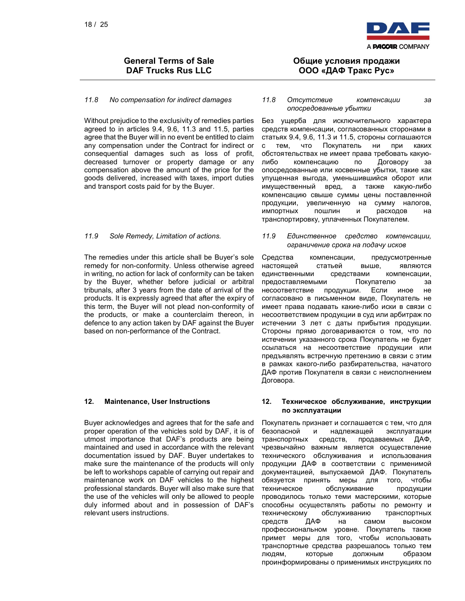

Without prejudice to the exclusivity of remedies parties agreed to in articles 9.4, 9.6, 11.3 and 11.5, parties agree that the Buyer will in no event be entitled to claim any compensation under the Contract for indirect or consequential damages such as loss of profit, decreased turnover or property damage or any compensation above the amount of the price for the goods delivered, increased with taxes, import duties and transport costs paid for by the Buyer.

The remedies under this article shall be Buyer's sole remedy for non-conformity. Unless otherwise agreed in writing, no action for lack of conformity can be taken by the Buyer, whether before judicial or arbitral tribunals, after 3 years from the date of arrival of the products. It is expressly agreed that after the expiry of this term, the Buyer will not plead non-conformity of the products, or make a counterclaim thereon, in defence to any action taken by DAF against the Buyer based on non-performance of the Contract.

Buyer acknowledges and agrees that for the safe and proper operation of the vehicles sold by DAF, it is of utmost importance that DAF's products are being maintained and used in accordance with the relevant documentation issued by DAF. Buyer undertakes to make sure the maintenance of the products will only be left to workshops capable of carrying out repair and maintenance work on DAF vehicles to the highest professional standards. Buyer will also make sure that the use of the vehicles will only be allowed to people duly informed about and in possession of DAF's relevant users instructions.

## Общие условия продажи ООО «ДАФ Тракс Рус»

### 11.8 No compensation for indirect damages 11.8 Отсутствие компенсации за опосредованные убытки

Без ущерба для исключительного характера средств компенсации, согласованных сторонами в статьях 9.4, 9.6, 11.3 и 11.5, стороны соглашаются с тем, что Покупатель ни при каких обстоятельствах не имеет права требовать какуюлибо компенсацию по Договору за опосредованные или косвенные убытки, такие как упущенная выгода, уменьшившийся оборот или имущественный вред, а также какую-либо компенсацию свыше суммы цены поставленной продукции, увеличенную на сумму налогов, импортных пошлин и расходов на транспортировку, уплаченных Покупателем.

### 11.9 Sole Remedy, Limitation of actions. 11.9 Единственное средство компенсации, ограничение срока на подачу исков

Средства компенсации, предусмотренные настоящей статьей выше, являются единственными средствами компенсации, предоставляемыми Покупателю за несоответствие продукции. Если иное не согласовано в письменном виде, Покупатель не имеет права подавать какие-либо иски в связи с несоответствием продукции в суд или арбитраж по истечении 3 лет с даты прибытия продукции. Стороны прямо договариваются о том, что по истечении указанного срока Покупатель не будет ссылаться на несоответствие продукции или предъявлять встречную претензию в связи с этим в рамках какого-либо разбирательства, начатого ДАФ против Покупателя в связи с неисполнением Договора.

### 12. Maintenance, User Instructions 12. Техническое обслуживание, инструкции по эксплуатации

Покупатель признает и соглашается с тем, что для безопасной и надлежащей эксплуатации транспортных средств, продаваемых ДАФ, чрезвычайно важным является осуществление технического обслуживания и использования продукции ДАФ в соответствии с применимой документацией, выпускаемой ДАФ. Покупатель обязуется принять меры для того, чтобы техническое обслуживание продукции проводилось только теми мастерскими, которые способны осуществлять работы по ремонту и техническому обслуживанию транспортных средств ДАФ на самом высоком профессиональном уровне. Покупатель также примет меры для того, чтобы использовать транспортные средства разрешалось только тем людям, которые должным образом проинформированы о применимых инструкциях по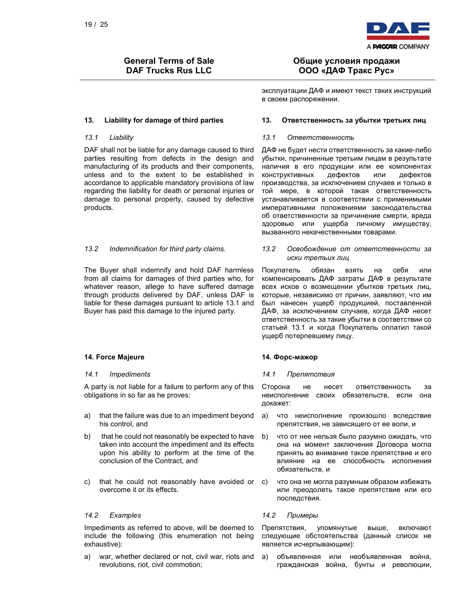

DAF shall not be liable for any damage caused to third parties resulting from defects in the design and manufacturing of its products and their components, unless and to the extent to be established in accordance to applicable mandatory provisions of law regarding the liability for death or personal injuries or damage to personal property, caused by defective products.

The Buyer shall indemnify and hold DAF harmless from all claims for damages of third parties who, for whatever reason, allege to have suffered damage through products delivered by DAF, unless DAF is liable for these damages pursuant to article 13.1 and Buyer has paid this damage to the injured party.

### 14. Force Majeure 14. Форс-мажор

A party is not liable for a failure to perform any of this obligations in so far as he proves:

- a) that the failure was due to an impediment beyond his control, and
- b) that he could not reasonably be expected to have taken into account the impediment and its effects upon his ability to perform at the time of the conclusion of the Contract, and
- c) that he could not reasonably have avoided or overcome it or its effects.

### 14.2 Examples 14.2 Примеры

Impediments as referred to above, will be deemed to include the following (this enumeration not being exhaustive):

a) war, whether declared or not, civil war, riots and revolutions, riot, civil commotion;

## Общие условия продажи ООО «ДАФ Тракс Рус»

эксплуатации ДАФ и имеют текст таких инструкций в своем распоряжении.

### 13. Liability for damage of third parties 13. Ответственность за убытки третьих лиц

### 13.1 Liability 13.1 Ответственность

ДАФ не будет нести ответственность за какие-либо убытки, причиненные третьим лицам в результате наличия в его продукции или ее компонентах<br>конструктивных дефектов или дефектов конструктивных дефектов или дефектов производства, за исключением случаев и только в той мере, в которой такая ответственность устанавливается в соответствии с применимыми императивными положениями законодательства об ответственности за причинение смерти, вреда здоровью или ущерба личному имуществу, вызванного некачественными товарами.

13.2 Indemnification for third party claims. 13.2 Освобождение от ответственности за иски третьих лиц

> Покупатель обязан взять на себя или компенсировать ДАФ затраты ДАФ в результате всех исков о возмещении убытков третьих лиц, которые, независимо от причин, заявляют, что им был нанесен ущерб продукцией, поставленной ДАФ, за исключением случаев, когда ДАФ несет ответственность за такие убытки в соответствии со статьей 13.1 и когда Покупатель оплатил такой ущерб потерпевшему лицу.

### 14.1 Impediments 14.1 Препятствия

Сторона не несет ответственность за неисполнение своих обязательств, если она докажет:

- а) что неисполнение произошло вследствие препятствия, не зависящего от ее воли, и
- b) что от нее нельзя было разумно ожидать, что она на момент заключения Договора могла принять во внимание такое препятствие и его влияние на ее способность исполнения обязательств, и
- с) что она не могла разумным образом избежать или преодолеть такое препятствие или его последствия.

Препятствия, упомянутые выше, включают следующие обстоятельства (данный список не является исчерпывающим):

а) объявленная или необъявленная война, гражданская война, бунты и революции,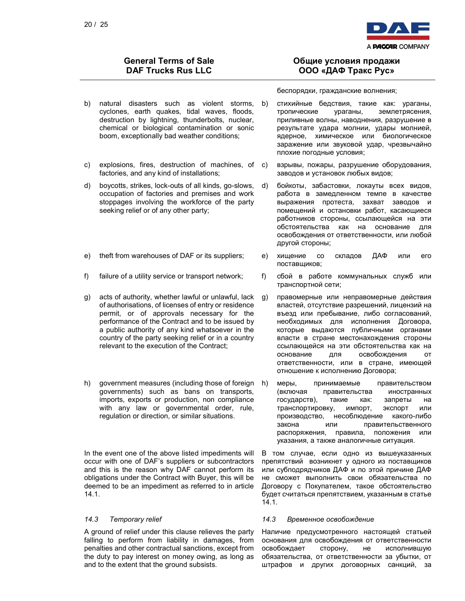

- b) natural disasters such as violent storms, b) cyclones, earth quakes, tidal waves, floods, destruction by lightning, thunderbolts, nuclear, chemical or biological contamination or sonic boom, exceptionally bad weather conditions;
- c) explosions, fires, destruction of machines, of factories, and any kind of installations;
- d) boycotts, strikes, lock-outs of all kinds, go-slows, occupation of factories and premises and work stoppages involving the workforce of the party seeking relief or of any other party;
- 
- 
- g) acts of authority, whether lawful or unlawful, lack of authorisations, of licenses of entry or residence permit, or of approvals necessary for the performance of the Contract and to be issued by a public authority of any kind whatsoever in the country of the party seeking relief or in a country relevant to the execution of the Contract;
- h) government measures (including those of foreign h) governments) such as bans on transports, imports, exports or production, non compliance with any law or governmental order, rule, regulation or direction, or similar situations.

In the event one of the above listed impediments will occur with one of DAF's suppliers or subcontractors and this is the reason why DAF cannot perform its obligations under the Contract with Buyer, this will be deemed to be an impediment as referred to in article 14.1.

A ground of relief under this clause relieves the party falling to perform from liability in damages, from penalties and other contractual sanctions, except from the duty to pay interest on money owing, as long as and to the extent that the ground subsists.

## Общие условия продажи ООО «ДАФ Тракс Рус»

беспорядки, гражданские волнения;

- стихийные бедствия, такие как: ураганы, тропические ураганы, землетрясения, приливные волны, наводнения, разрушение в результате удара молнии, удары молнией, ядерное, химическое или биологическое заражение или звуковой удар, чрезвычайно плохие погодные условия;
- взрывы, пожары, разрушение оборудования, заводов и установок любых видов;
- d) бойкоты, забастовки, локауты всех видов, работа в замедленном темпе в качестве выражения протеста, захват заводов и помещений и остановки работ, касающиеся работников стороны, ссылающейся на эти обстоятельства как на основание для освобождения от ответственности, или любой другой стороны;
- e) theft from warehouses of DAF or its suppliers; e) хищение со складов ДАФ или его поставщиков;
- f) failure of a utility service or transport network; f) сбой в работе коммунальных служб или транспортной сети;
	- g) правомерные или неправомерные действия властей, отсутствие разрешений, лицензий на въезд или пребывание, либо согласований, необходимых для исполнения Договора, которые выдаются публичными органами власти в стране местонахождения стороны ссылающейся на эти обстоятельства как на основание для освобождения от ответственности, или в стране, имеющей отношение к исполнению Договора;
	- меры, принимаемые правительством (включая правительства иностранных государств), такие как: запреты на транспортировку, импорт, экспорт или производство, несоблюдение какого-либо закона или правительственного распоряжения, правила, положения или указания, а также аналогичные ситуация.

В том случае, если одно из вышеуказанных препятствий возникнет у одного из поставщиков или субподрядчиков ДАФ и по этой причине ДАФ не сможет выполнить свои обязательства по Договору с Покупателем, такое обстоятельство будет считаться препятствием, указанным в статье 14.1.

### 14.3 Temporary relief 14.3 Временное освобождение

Наличие предусмотренного настоящей статьей основания для освобождения от ответственности освобождает сторону, не исполнившую обязательства, от ответственности за убытки, от штрафов и других договорных санкций, за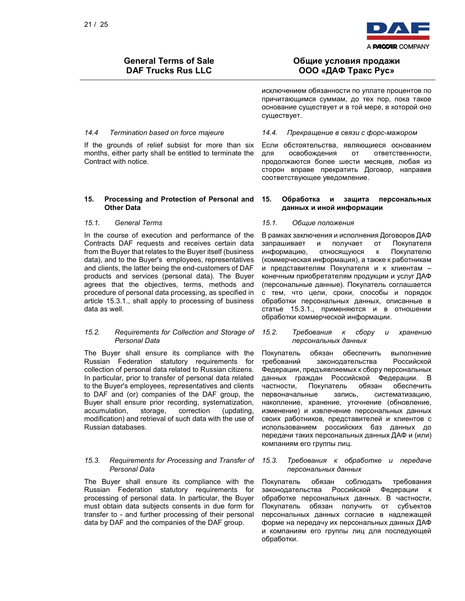

If the grounds of relief subsist for more than six months, either party shall be entitled to terminate the Contract with notice.

### 15. Processing and Protection of Personal and Other Data

In the course of execution and performance of the Contracts DAF requests and receives certain data from the Buyer that relates to the Buyer itself (business data), and to the Buyer's employees, representatives and clients, the latter being the end-customers of DAF products and services (personal data). The Buyer agrees that the objectives, terms, methods and procedure of personal data processing, as specified in article 15.3.1., shall apply to processing of business data as well.

### 15.2. Requirements for Collection and Storage of Personal Data

The Buyer shall ensure its compliance with the Russian Federation statutory requirements for collection of personal data related to Russian citizens. In particular, prior to transfer of personal data related to the Buyer's employees, representatives and clients to DAF and (or) companies of the DAF group, the Buyer shall ensure prior recording, systematization, accumulation, storage, correction (updating, modification) and retrieval of such data with the use of Russian databases.

### 15.3. Requirements for Processing and Transfer of Personal Data

The Buyer shall ensure its compliance with the Russian Federation statutory requirements for processing of personal data. In particular, the Buyer must obtain data subjects consents in due form for transfer to - and further processing of their personal data by DAF and the companies of the DAF group.

## Общие условия продажи ООО «ДАФ Тракс Рус»

исключением обязанности по уплате процентов по причитающимся суммам, до тех пор, пока такое основание существует и в той мере, в которой оно существует.

### 14.4 Termination based on force majeure 14.4. Прекращение в связи с форс-мажором

Если обстоятельства, являющиеся основанием для освобождения от ответственности, продолжаются более шести месяцев, любая из сторон вправе прекратить Договор, направив соответствующее уведомление.

### 15. Обработка и защита персональных данных и иной информации

### 15.1. General Terms 15.1. Общие положения

В рамках заключения и исполнения Договоров ДАФ запрашивает и получает от Покупателя информацию, относящуюся к Покупателю (коммерческая информация), а также к работникам и представителям Покупателя и к клиентам – конечным приобретателям продукции и услуг ДАФ (персональные данные). Покупатель соглашается с тем, что цели, сроки, способы и порядок обработки персональных данных, описанные в статье 15.3.1., применяются и в отношении обработки коммерческой информации.

### 15.2. Требования к сбору и хранению персональных данных

Покупатель обязан обеспечить выполнение требований законодательства Российской Федерации, предъявляемых к сбору персональных данных граждан Российской Федерации. В частности, Покупатель обязан обеспечить первоначальные запись, систематизацию, накопление, хранение, уточнение (обновление, изменение) и извлечение персональных данных своих работников, представителей и клиентов с использованием российских баз данных до передачи таких персональных данных ДАФ и (или) компаниям его группы лиц.

### 15.3. Требования к обработке и передаче персональных данных

Покупатель обязан соблюдать требования законодательства Российской Федерации к обработке персональных данных. В частности, Покупатель обязан получить от субъектов персональных данных согласие в надлежащей форме на передачу их персональных данных ДАФ и компаниям его группы лиц для последующей обработки.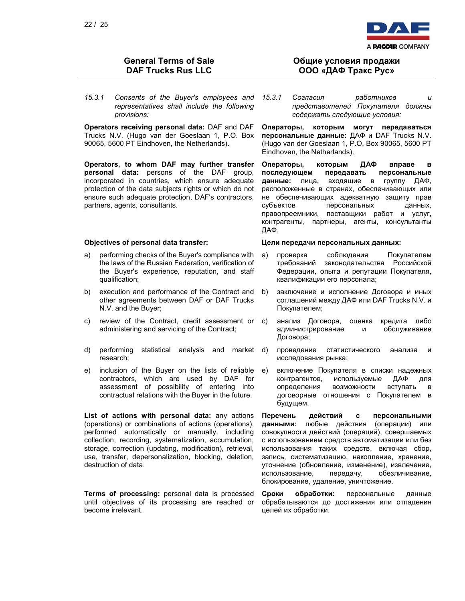15.3.1 Consents of the Buyer's employees and representatives shall include the following provisions:

Operators receiving personal data: DAF and DAF Trucks N.V. (Hugo van der Goeslaan 1, P.O. Box 90065, 5600 PT Eindhoven, the Netherlands).

Operators, to whom DAF may further transfer personal data: persons of the DAF group, incorporated in countries, which ensure adequate protection of the data subjects rights or which do not ensure such adequate protection, DAF's contractors, partners, agents, consultants.

- a) performing checks of the Buyer's compliance with the laws of the Russian Federation, verification of the Buyer's experience, reputation, and staff qualification;
- b) execution and performance of the Contract and other agreements between DAF or DAF Trucks N.V. and the Buyer;
- c) review of the Contract, credit assessment or administering and servicing of the Contract;
- d) performing statistical analysis and market research;
- e) inclusion of the Buyer on the lists of reliable contractors, which are used by DAF for assessment of possibility of entering into contractual relations with the Buyer in the future.

List of actions with personal data: any actions (operations) or combinations of actions (operations), performed automatically or manually, including collection, recording, systematization, accumulation, storage, correction (updating, modification), retrieval, use, transfer, depersonalization, blocking, deletion, destruction of data.

Terms of processing: personal data is processed until objectives of its processing are reached or become irrelevant.



## Общие условия продажи ООО «ДАФ Тракс Рус»

15.3.1 Согласия работников и представителей Покупателя должны содержать следующие условия:

Операторы, которым могут передаваться персональные данные: ДАФ и DAF Trucks N.V. (Hugo van der Goeslaan 1, P.O. Box 90065, 5600 PT Eindhoven, the Netherlands).

Операторы, которым ДАФ вправе в последующем передавать персональные данные: лица, входящие в группу ДАФ, расположенные в странах, обеспечивающих или не обеспечивающих адекватную защиту прав субъектов персональных данных, правопреемники, поставщики работ и услуг, контрагенты, партнеры, агенты, консультанты ДАФ.

### Objectives of personal data transfer: Цели передачи персональных данных:

- a) проверка соблюдения Покупателем требований законодательства Российской Федерации, опыта и репутации Покупателя, квалификации его персонала;
- b) заключение и исполнение Договора и иных соглашений между ДАФ или DAF Trucks N.V. и Покупателем;
- c) анализ Договора, оценка кредита либо администрирование и обслуживание Договора;
- проведение статистического анализа и исследования рынка;
- e) включение Покупателя в списки надежных контрагентов, используемые ДАФ для определения возможности вступать в договорные отношения с Покупателем в будущем.

Перечень действий с персональными данными: любые действия (операции) или совокупности действий (операций), совершаемых с использованием средств автоматизации или без использования таких средств, включая сбор, запись, систематизацию, накопление, хранение, уточнение (обновление, изменение), извлечение, использование, передачу, обезличивание, блокирование, удаление, уничтожение.

Cроки обработки: персональные данные обрабатываются до достижения или отпадения целей их обработки.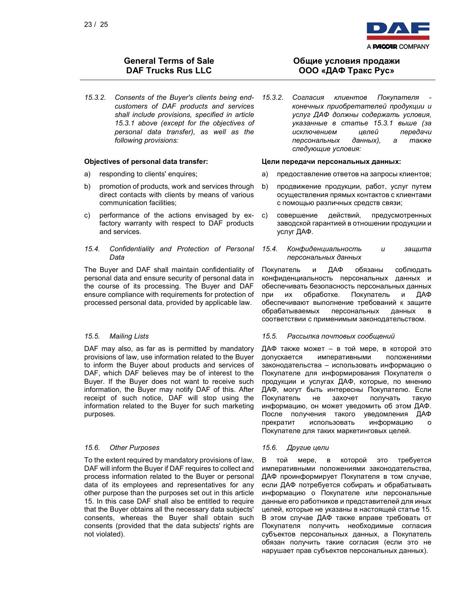

15.3.2. Consents of the Buyer's clients being endcustomers of DAF products and services shall include provisions, specified in article 15.3.1 above (except for the objectives of personal data transfer), as well as the following provisions:

- 
- b) promotion of products, work and services through direct contacts with clients by means of various communication facilities;
- c) performance of the actions envisaged by exfactory warranty with respect to DAF products and services.

### 15.4. Confidentiality and Protection of Personal Data

The Buyer and DAF shall maintain confidentiality of personal data and ensure security of personal data in the course of its processing. The Buyer and DAF ensure compliance with requirements for protection of processed personal data, provided by applicable law.

DAF may also, as far as is permitted by mandatory provisions of law, use information related to the Buyer to inform the Buyer about products and services of DAF, which DAF believes may be of interest to the Buyer. If the Buyer does not want to receive such information, the Buyer may notify DAF of this. After receipt of such notice, DAF will stop using the information related to the Buyer for such marketing purposes.

### 15.6. Other Purposes **15.6.** Другие цели

To the extent required by mandatory provisions of law, DAF will inform the Buyer if DAF requires to collect and process information related to the Buyer or personal data of its employees and representatives for any other purpose than the purposes set out in this article 15. In this case DAF shall also be entitled to require that the Buyer obtains all the necessary data subjects' consents, whereas the Buyer shall obtain such consents (provided that the data subjects' rights are not violated).

## Общие условия продажи ООО «ДАФ Тракс Рус»

15.3.2. Согласия клиентов Покупателя конечных приобретателей продукции и услуг ДАФ должны содержать условия, указанные в статье 15.3.1 выше (за исключением целей передачи персональных данных), а также следующие условия:

### Objectives of personal data transfer: Цели передачи персональных данных:

- a) responding to clients' enquires; a) предоставление ответов на запросы клиентов;
	- b) продвижение продукции, работ, услуг путем осуществления прямых контактов с клиентами с помощью различных средств связи;
	- c) совершение действий, предусмотренных заводской гарантией в отношении продукции и услуг ДАФ.
	- 15.4. Конфиденциальность и защита персональных данных

Покупатель и ДАФ обязаны соблюдать конфиденциальность персональных данных и обеспечивать безопасность персональных данных при их обработке. Покупатель и ДАФ обеспечивают выполнение требований к защите обрабатываемых персональных данных в соответствии с применимым законодательством.

### 15.5. Mailing Lists 15.5. Рассылка почтовых сообщений

ДАФ также может – в той мере, в которой это допускается императивными положениями законодательства – использовать информацию о Покупателе для информирования Покупателя о продукции и услугах ДАФ, которые, по мнению ДАФ, могут быть интересны Покупателю. Если Покупатель не захочет получать такую информацию, он может уведомить об этом ДАФ. После получения такого уведомления ДАФ прекратит использовать информацию о Покупателе для таких маркетинговых целей.

В той мере, в которой это требуется императивными положениями законодательства, ДАФ проинформирует Покупателя в том случае, если ДАФ потребуется собирать и обрабатывать информацию о Покупателе или персональные данные его работников и представителей для иных целей, которые не указаны в настоящей статье 15. В этом случае ДАФ также вправе требовать от Покупателя получить необходимые согласия субъектов персональных данных, а Покупатель обязан получить такие согласия (если это не нарушает прав субъектов персональных данных).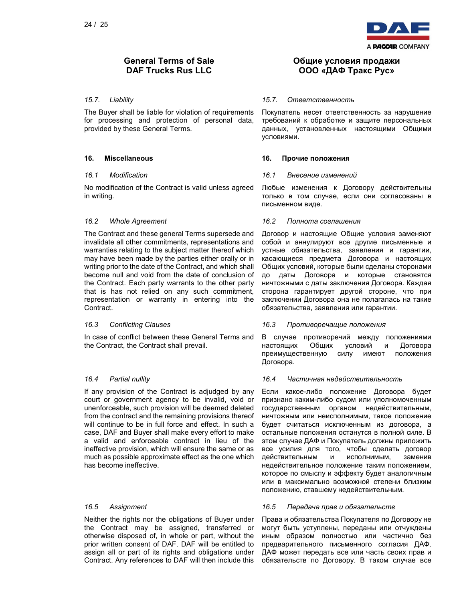

The Buyer shall be liable for violation of requirements for processing and protection of personal data, provided by these General Terms.

No modification of the Contract is valid unless agreed in writing.

The Contract and these general Terms supersede and invalidate all other commitments, representations and warranties relating to the subject matter thereof which may have been made by the parties either orally or in writing prior to the date of the Contract, and which shall become null and void from the date of conclusion of the Contract. Each party warrants to the other party that is has not relied on any such commitment, representation or warranty in entering into the Contract.

In case of conflict between these General Terms and the Contract, the Contract shall prevail.

If any provision of the Contract is adjudged by any court or government agency to be invalid, void or unenforceable, such provision will be deemed deleted from the contract and the remaining provisions thereof will continue to be in full force and effect. In such a case, DAF and Buyer shall make every effort to make a valid and enforceable contract in lieu of the ineffective provision, which will ensure the same or as much as possible approximate effect as the one which has become ineffective.

Neither the rights nor the obligations of Buyer under the Contract may be assigned, transferred or otherwise disposed of, in whole or part, without the prior written consent of DAF. DAF will be entitled to assign all or part of its rights and obligations under Contract. Any references to DAF will then include this

## Общие условия продажи ООО «ДАФ Тракс Рус»

### 15.7. Liability 15.7. Ответственность

Покупатель несет ответственность за нарушение требований к обработке и защите персональных данных, установленных настоящими Общими условиями.

### 16. Miscellaneous 16. Прочие положения

### 16.1 Modification 16.1 Внесение изменений

Любые изменения к Договору действительны только в том случае, если они согласованы в письменном виде.

### 16.2 Whole Agreement **16.2 Полнота соглашения**

Договор и настоящие Общие условия заменяют собой и аннулируют все другие письменные и устные обязательства, заявления и гарантии, касающиеся предмета Договора и настоящих Общих условий, которые были сделаны сторонами до даты Договора и которые становятся ничтожными с даты заключения Договора. Каждая сторона гарантирует другой стороне, что при заключении Договора она не полагалась на такие обязательства, заявления или гарантии.

### 16.3 Conflicting Clauses 16.3 Противоречащие положения

В случае противоречий между положениями настоящих Общих условий и Договора преимущественную силу имеют положения Договора.

### 16.4 Partial nullity 16.4 Частичная недействительность

Если какое-либо положение Договора будет признано каким-либо судом или уполномоченным государственным органом недействительным, ничтожным или неисполнимым, такое положение будет считаться исключенным из договора, а остальные положения останутся в полной силе. В этом случае ДАФ и Покупатель должны приложить все усилия для того, чтобы сделать договор действительным и исполнимым, заменив недействительное положение таким положением, которое по смыслу и эффекту будет аналогичным или в максимально возможной степени близким положению, ставшему недействительным.

### 16.5 Assignment 16.5 Передача прав и обязательств

Права и обязательства Покупателя по Договору не могут быть уступлены, переданы или отчуждены иным образом полностью или частично без предварительного письменного согласия ДАФ. ДАФ может передать все или часть своих прав и обязательств по Договору. В таком случае все